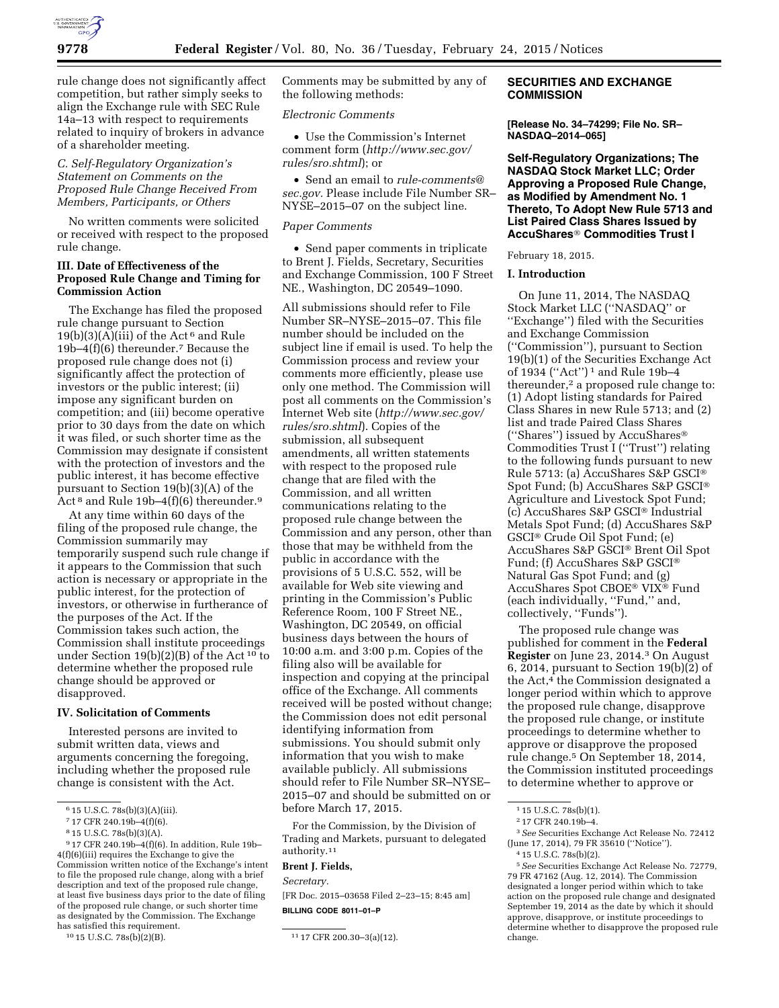

rule change does not significantly affect competition, but rather simply seeks to align the Exchange rule with SEC Rule 14a–13 with respect to requirements related to inquiry of brokers in advance of a shareholder meeting.

# *C. Self-Regulatory Organization's Statement on Comments on the Proposed Rule Change Received From Members, Participants, or Others*

No written comments were solicited or received with respect to the proposed rule change.

# **III. Date of Effectiveness of the Proposed Rule Change and Timing for Commission Action**

The Exchange has filed the proposed rule change pursuant to Section 19(b)(3)(A)(iii) of the Act<sup>6</sup> and Rule 19b–4(f)(6) thereunder.7 Because the proposed rule change does not (i) significantly affect the protection of investors or the public interest; (ii) impose any significant burden on competition; and (iii) become operative prior to 30 days from the date on which it was filed, or such shorter time as the Commission may designate if consistent with the protection of investors and the public interest, it has become effective pursuant to Section 19(b)(3)(A) of the Act<sup>8</sup> and Rule 19b-4(f)(6) thereunder.<sup>9</sup>

At any time within 60 days of the filing of the proposed rule change, the Commission summarily may temporarily suspend such rule change if it appears to the Commission that such action is necessary or appropriate in the public interest, for the protection of investors, or otherwise in furtherance of the purposes of the Act. If the Commission takes such action, the Commission shall institute proceedings under Section 19(b)(2)(B) of the Act 10 to determine whether the proposed rule change should be approved or disapproved.

## **IV. Solicitation of Comments**

Interested persons are invited to submit written data, views and arguments concerning the foregoing, including whether the proposed rule change is consistent with the Act.

9 17 CFR 240.19b–4(f)(6). In addition, Rule 19b– 4(f)(6)(iii) requires the Exchange to give the Commission written notice of the Exchange's intent to file the proposed rule change, along with a brief description and text of the proposed rule change at least five business days prior to the date of filing of the proposed rule change, or such shorter time as designated by the Commission. The Exchange has satisfied this requirement.<br> $1015$  U.S.C. 78s(b)(2)(B).

Comments may be submitted by any of the following methods:

## *Electronic Comments*

• Use the Commission's Internet comment form (*[http://www.sec.gov/](http://www.sec.gov/rules/sro.shtml) [rules/sro.shtml](http://www.sec.gov/rules/sro.shtml)*); or

• Send an email to *[rule-comments@](mailto:rule-comments@sec.gov) [sec.gov.](mailto:rule-comments@sec.gov)* Please include File Number SR– NYSE–2015–07 on the subject line.

#### *Paper Comments*

• Send paper comments in triplicate to Brent J. Fields, Secretary, Securities and Exchange Commission, 100 F Street NE., Washington, DC 20549–1090.

All submissions should refer to File Number SR–NYSE–2015–07. This file number should be included on the subject line if email is used. To help the Commission process and review your comments more efficiently, please use only one method. The Commission will post all comments on the Commission's Internet Web site (*[http://www.sec.gov/](http://www.sec.gov/rules/sro.shtml) [rules/sro.shtml](http://www.sec.gov/rules/sro.shtml)*). Copies of the submission, all subsequent amendments, all written statements with respect to the proposed rule change that are filed with the Commission, and all written communications relating to the proposed rule change between the Commission and any person, other than those that may be withheld from the public in accordance with the provisions of 5 U.S.C. 552, will be available for Web site viewing and printing in the Commission's Public Reference Room, 100 F Street NE., Washington, DC 20549, on official business days between the hours of 10:00 a.m. and 3:00 p.m. Copies of the filing also will be available for inspection and copying at the principal office of the Exchange. All comments received will be posted without change; the Commission does not edit personal identifying information from submissions. You should submit only information that you wish to make available publicly. All submissions should refer to File Number SR–NYSE– 2015–07 and should be submitted on or before March 17, 2015.

For the Commission, by the Division of Trading and Markets, pursuant to delegated authority.11

# **Brent J. Fields,**

*Secretary.* 

[FR Doc. 2015–03658 Filed 2–23–15; 8:45 am] **BILLING CODE 8011–01–P** 

# **SECURITIES AND EXCHANGE COMMISSION**

**[Release No. 34–74299; File No. SR– NASDAQ–2014–065]** 

**Self-Regulatory Organizations; The NASDAQ Stock Market LLC; Order Approving a Proposed Rule Change, as Modified by Amendment No. 1 Thereto, To Adopt New Rule 5713 and List Paired Class Shares Issued by AccuShares**® **Commodities Trust I** 

February 18, 2015.

#### **I. Introduction**

On June 11, 2014, The NASDAQ Stock Market LLC (''NASDAQ'' or ''Exchange'') filed with the Securities and Exchange Commission (''Commission''), pursuant to Section 19(b)(1) of the Securities Exchange Act of 1934 (''Act'') 1 and Rule 19b–4 thereunder,<sup>2</sup> a proposed rule change to: (1) Adopt listing standards for Paired Class Shares in new Rule 5713; and (2) list and trade Paired Class Shares (''Shares'') issued by AccuShares® Commodities Trust I (''Trust'') relating to the following funds pursuant to new Rule 5713: (a) AccuShares S&P GSCI® Spot Fund; (b) AccuShares S&P GSCI® Agriculture and Livestock Spot Fund; (c) AccuShares S&P GSCI® Industrial Metals Spot Fund; (d) AccuShares S&P GSCI® Crude Oil Spot Fund; (e) AccuShares S&P GSCI® Brent Oil Spot Fund; (f) AccuShares S&P GSCI® Natural Gas Spot Fund; and (g) AccuShares Spot CBOE® VIX® Fund (each individually, ''Fund,'' and, collectively, ''Funds'').

The proposed rule change was published for comment in the **Federal Register** on June 23, 2014.3 On August 6, 2014, pursuant to Section 19(b)(2) of the Act,<sup>4</sup> the Commission designated a longer period within which to approve the proposed rule change, disapprove the proposed rule change, or institute proceedings to determine whether to approve or disapprove the proposed rule change.5 On September 18, 2014, the Commission instituted proceedings to determine whether to approve or

<sup>6</sup> 15 U.S.C. 78s(b)(3)(A)(iii).

<sup>7</sup> 17 CFR 240.19b–4(f)(6).

<sup>8</sup> 15 U.S.C. 78s(b)(3)(A).

<sup>11 17</sup> CFR 200.30-3(a)(12).

<sup>1</sup> 15 U.S.C. 78s(b)(1).

<sup>2</sup> 17 CFR 240.19b–4.

<sup>3</sup>*See* Securities Exchange Act Release No. 72412 (June 17, 2014), 79 FR 35610 (''Notice'').

<sup>4</sup> 15 U.S.C. 78s(b)(2).

<sup>5</sup>*See* Securities Exchange Act Release No. 72779, 79 FR 47162 (Aug. 12, 2014). The Commission designated a longer period within which to take action on the proposed rule change and designated September 19, 2014 as the date by which it should approve, disapprove, or institute proceedings to determine whether to disapprove the proposed rule change.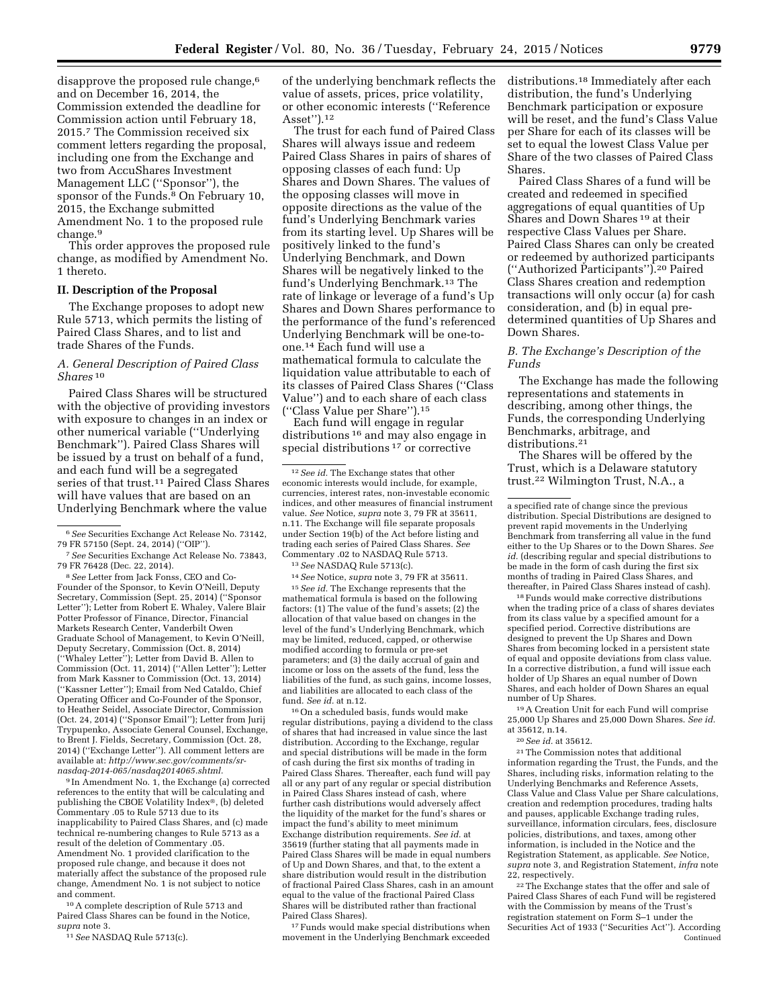disapprove the proposed rule change,<sup>6</sup> and on December 16, 2014, the Commission extended the deadline for Commission action until February 18, 2015.7 The Commission received six comment letters regarding the proposal, including one from the Exchange and two from AccuShares Investment Management LLC (''Sponsor''), the sponsor of the Funds.<sup>8</sup> On February 10, 2015, the Exchange submitted Amendment No. 1 to the proposed rule change.9

This order approves the proposed rule change, as modified by Amendment No. 1 thereto.

#### **II. Description of the Proposal**

The Exchange proposes to adopt new Rule 5713, which permits the listing of Paired Class Shares, and to list and trade Shares of the Funds.

# *A. General Description of Paired Class Shares* 10

Paired Class Shares will be structured with the objective of providing investors with exposure to changes in an index or other numerical variable (''Underlying Benchmark''). Paired Class Shares will be issued by a trust on behalf of a fund, and each fund will be a segregated series of that trust.<sup>11</sup> Paired Class Shares will have values that are based on an Underlying Benchmark where the value

8*See* Letter from Jack Fonss, CEO and Co-Founder of the Sponsor, to Kevin O'Neill, Deputy Secretary, Commission (Sept. 25, 2014) (''Sponsor Letter''); Letter from Robert E. Whaley, Valere Blair Potter Professor of Finance, Director, Financial Markets Research Center, Vanderbilt Owen Graduate School of Management, to Kevin O'Neill, Deputy Secretary, Commission (Oct. 8, 2014) (''Whaley Letter''); Letter from David B. Allen to Commission (Oct. 11, 2014) (''Allen Letter''); Letter from Mark Kassner to Commission (Oct. 13, 2014) (''Kassner Letter''); Email from Ned Cataldo, Chief Operating Officer and Co-Founder of the Sponsor, to Heather Seidel, Associate Director, Commission (Oct. 24, 2014) (''Sponsor Email''); Letter from Jurij Trypupenko, Associate General Counsel, Exchange, to Brent J. Fields, Secretary, Commission (Oct. 28, 2014) (''Exchange Letter''). All comment letters are available at: *[http://www.sec.gov/comments/sr](http://www.sec.gov/comments/sr-nasdaq-2014-065/nasdaq2014065.shtml)[nasdaq-2014-065/nasdaq2014065.shtml.](http://www.sec.gov/comments/sr-nasdaq-2014-065/nasdaq2014065.shtml)* 

9 In Amendment No. 1, the Exchange (a) corrected references to the entity that will be calculating and publishing the CBOE Volatility Index®, (b) deleted Commentary .05 to Rule 5713 due to its inapplicability to Paired Class Shares, and (c) made technical re-numbering changes to Rule 5713 as a result of the deletion of Commentary .05. Amendment No. 1 provided clarification to the proposed rule change, and because it does not materially affect the substance of the proposed rule change, Amendment No. 1 is not subject to notice and comment.

10A complete description of Rule 5713 and Paired Class Shares can be found in the Notice, *supra* note 3.

11*See* NASDAQ Rule 5713(c).

of the underlying benchmark reflects the value of assets, prices, price volatility, or other economic interests (''Reference Asset'').12

The trust for each fund of Paired Class Shares will always issue and redeem Paired Class Shares in pairs of shares of opposing classes of each fund: Up Shares and Down Shares. The values of the opposing classes will move in opposite directions as the value of the fund's Underlying Benchmark varies from its starting level. Up Shares will be positively linked to the fund's Underlying Benchmark, and Down Shares will be negatively linked to the fund's Underlying Benchmark.13 The rate of linkage or leverage of a fund's Up Shares and Down Shares performance to the performance of the fund's referenced Underlying Benchmark will be one-toone.14 Each fund will use a mathematical formula to calculate the liquidation value attributable to each of its classes of Paired Class Shares (''Class Value'') and to each share of each class (''Class Value per Share'').15

Each fund will engage in regular distributions 16 and may also engage in special distributions<sup>17</sup> or corrective

13*See* NASDAQ Rule 5713(c).

14*See* Notice, *supra* note 3, 79 FR at 35611.

15*See id.* The Exchange represents that the mathematical formula is based on the following factors: (1) The value of the fund's assets; (2) the allocation of that value based on changes in the level of the fund's Underlying Benchmark, which may be limited, reduced, capped, or otherwise modified according to formula or pre-set parameters; and (3) the daily accrual of gain and income or loss on the assets of the fund, less the liabilities of the fund, as such gains, income losses, and liabilities are allocated to each class of the fund. *See id.* at n.12.

16On a scheduled basis, funds would make regular distributions, paying a dividend to the class of shares that had increased in value since the last distribution. According to the Exchange, regular and special distributions will be made in the form of cash during the first six months of trading in Paired Class Shares. Thereafter, each fund will pay all or any part of any regular or special distribution in Paired Class Shares instead of cash, where further cash distributions would adversely affect the liquidity of the market for the fund's shares or impact the fund's ability to meet minimum Exchange distribution requirements. *See id.* at 35619 (further stating that all payments made in Paired Class Shares will be made in equal numbers of Up and Down Shares, and that, to the extent a share distribution would result in the distribution of fractional Paired Class Shares, cash in an amount equal to the value of the fractional Paired Class Shares will be distributed rather than fractional Paired Class Shares).

<sup>17</sup> Funds would make special distributions when movement in the Underlying Benchmark exceeded distributions.18 Immediately after each distribution, the fund's Underlying Benchmark participation or exposure will be reset, and the fund's Class Value per Share for each of its classes will be set to equal the lowest Class Value per Share of the two classes of Paired Class Shares.

Paired Class Shares of a fund will be created and redeemed in specified aggregations of equal quantities of Up Shares and Down Shares 19 at their respective Class Values per Share. Paired Class Shares can only be created or redeemed by authorized participants (''Authorized Participants'').20 Paired Class Shares creation and redemption transactions will only occur (a) for cash consideration, and (b) in equal predetermined quantities of Up Shares and Down Shares.

## *B. The Exchange's Description of the Funds*

The Exchange has made the following representations and statements in describing, among other things, the Funds, the corresponding Underlying Benchmarks, arbitrage, and distributions.<sup>21</sup>

The Shares will be offered by the Trust, which is a Delaware statutory trust.22 Wilmington Trust, N.A., a

a specified rate of change since the previous distribution. Special Distributions are designed to prevent rapid movements in the Underlying Benchmark from transferring all value in the fund either to the Up Shares or to the Down Shares. *See id.* (describing regular and special distributions to be made in the form of cash during the first six months of trading in Paired Class Shares, and thereafter, in Paired Class Shares instead of cash).

18Funds would make corrective distributions when the trading price of a class of shares deviates from its class value by a specified amount for a specified period. Corrective distributions are designed to prevent the Up Shares and Down Shares from becoming locked in a persistent state of equal and opposite deviations from class value. In a corrective distribution, a fund will issue each holder of Up Shares an equal number of Down Shares, and each holder of Down Shares an equal number of Up Shares.

19A Creation Unit for each Fund will comprise 25,000 Up Shares and 25,000 Down Shares. *See id.*  at 35612, n.14.

20*See id.* at 35612.

21The Commission notes that additional information regarding the Trust, the Funds, and the Shares, including risks, information relating to the Underlying Benchmarks and Reference Assets, Class Value and Class Value per Share calculations, creation and redemption procedures, trading halts and pauses, applicable Exchange trading rules, surveillance, information circulars, fees, disclosure policies, distributions, and taxes, among other information, is included in the Notice and the Registration Statement, as applicable. *See* Notice, *supra* note 3, and Registration Statement, *infra* note 22, respectively.

22The Exchange states that the offer and sale of Paired Class Shares of each Fund will be registered with the Commission by means of the Trust's registration statement on Form S–1 under the Securities Act of 1933 (''Securities Act''). According Continued

<sup>6</sup>*See* Securities Exchange Act Release No. 73142, 79 FR 57150 (Sept. 24, 2014) (''OIP'').

<sup>7</sup>*See* Securities Exchange Act Release No. 73843, 79 FR 76428 (Dec. 22, 2014).

 $^{\rm 12}\,See$   $id.$  The Exchange states that other economic interests would include, for example, currencies, interest rates, non-investable economic indices, and other measures of financial instrument value. *See* Notice, *supra* note 3, 79 FR at 35611, n.11. The Exchange will file separate proposals under Section 19(b) of the Act before listing and trading each series of Paired Class Shares. *See*  Commentary .02 to NASDAQ Rule 5713.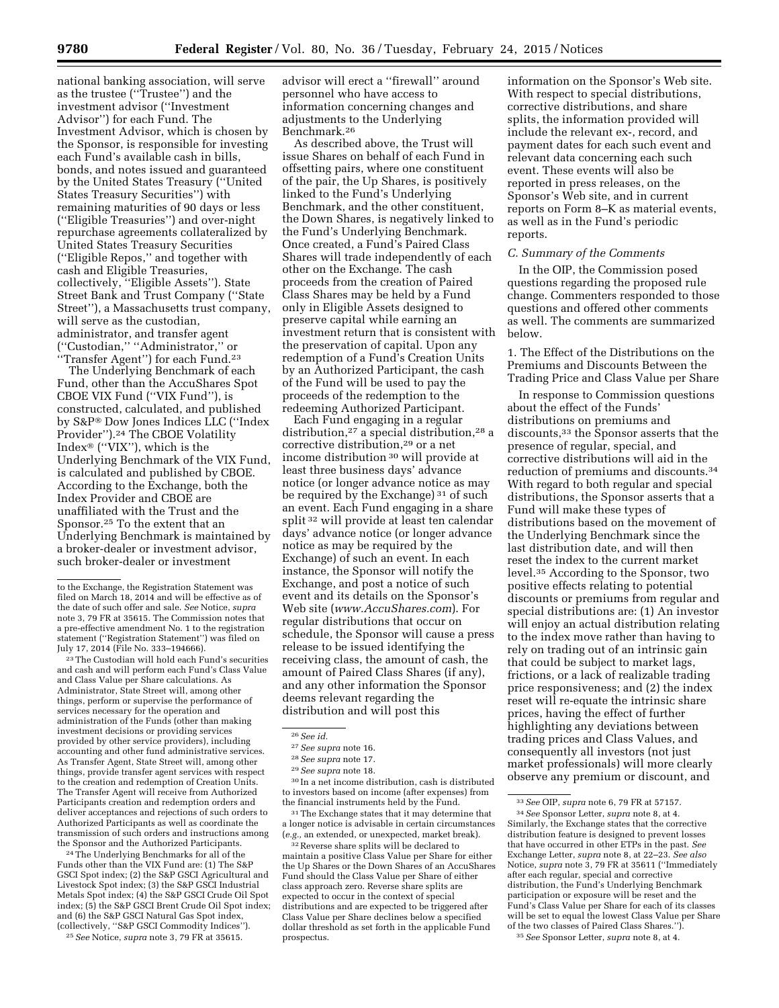national banking association, will serve as the trustee (''Trustee'') and the investment advisor (''Investment Advisor'') for each Fund. The Investment Advisor, which is chosen by the Sponsor, is responsible for investing each Fund's available cash in bills, bonds, and notes issued and guaranteed by the United States Treasury (''United States Treasury Securities'') with remaining maturities of 90 days or less (''Eligible Treasuries'') and over-night repurchase agreements collateralized by United States Treasury Securities (''Eligible Repos,'' and together with cash and Eligible Treasuries, collectively, ''Eligible Assets''). State Street Bank and Trust Company (''State Street''), a Massachusetts trust company, will serve as the custodian, administrator, and transfer agent (''Custodian,'' ''Administrator,'' or ''Transfer Agent'') for each Fund.23

The Underlying Benchmark of each Fund, other than the AccuShares Spot CBOE VIX Fund (''VIX Fund''), is constructed, calculated, and published by S&P® Dow Jones Indices LLC (''Index Provider").<sup>24</sup> The CBOE Volatility  $Index^\circledast$  ("VIX"), which is the Underlying Benchmark of the VIX Fund, is calculated and published by CBOE. According to the Exchange, both the Index Provider and CBOE are unaffiliated with the Trust and the Sponsor.25 To the extent that an Underlying Benchmark is maintained by a broker-dealer or investment advisor, such broker-dealer or investment

23The Custodian will hold each Fund's securities and cash and will perform each Fund's Class Value and Class Value per Share calculations. As Administrator, State Street will, among other things, perform or supervise the performance of services necessary for the operation and administration of the Funds (other than making investment decisions or providing services provided by other service providers), including accounting and other fund administrative services. As Transfer Agent, State Street will, among other things, provide transfer agent services with respect to the creation and redemption of Creation Units. The Transfer Agent will receive from Authorized Participants creation and redemption orders and deliver acceptances and rejections of such orders to Authorized Participants as well as coordinate the transmission of such orders and instructions among the Sponsor and the Authorized Participants.

24The Underlying Benchmarks for all of the Funds other than the VIX Fund are: (1) The S&P GSCI Spot index; (2) the S&P GSCI Agricultural and Livestock Spot index; (3) the S&P GSCI Industrial Metals Spot index; (4) the S&P GSCI Crude Oil Spot index; (5) the S&P GSCI Brent Crude Oil Spot index; and (6) the S&P GSCI Natural Gas Spot index, (collectively, ''S&P GSCI Commodity Indices'').

25*See* Notice, *supra* note 3, 79 FR at 35615.

advisor will erect a ''firewall'' around personnel who have access to information concerning changes and adjustments to the Underlying Benchmark.26

As described above, the Trust will issue Shares on behalf of each Fund in offsetting pairs, where one constituent of the pair, the Up Shares, is positively linked to the Fund's Underlying Benchmark, and the other constituent, the Down Shares, is negatively linked to the Fund's Underlying Benchmark. Once created, a Fund's Paired Class Shares will trade independently of each other on the Exchange. The cash proceeds from the creation of Paired Class Shares may be held by a Fund only in Eligible Assets designed to preserve capital while earning an investment return that is consistent with the preservation of capital. Upon any redemption of a Fund's Creation Units by an Authorized Participant, the cash of the Fund will be used to pay the proceeds of the redemption to the redeeming Authorized Participant.

Each Fund engaging in a regular distribution,27 a special distribution,28 a corrective distribution,29 or a net income distribution 30 will provide at least three business days' advance notice (or longer advance notice as may be required by the Exchange) 31 of such an event. Each Fund engaging in a share split 32 will provide at least ten calendar days' advance notice (or longer advance notice as may be required by the Exchange) of such an event. In each instance, the Sponsor will notify the Exchange, and post a notice of such event and its details on the Sponsor's Web site (*[www.AccuShares.com](http://www.AccuShares.com)*). For regular distributions that occur on schedule, the Sponsor will cause a press release to be issued identifying the receiving class, the amount of cash, the amount of Paired Class Shares (if any), and any other information the Sponsor deems relevant regarding the distribution and will post this

 $\rm{^{30}In}$  a net income distribution, cash is distributed to investors based on income (after expenses) from the financial instruments held by the Fund.

<sup>31</sup> The Exchange states that it may determine that a longer notice is advisable in certain circumstances (*e.g.,* an extended, or unexpected, market break).

32Reverse share splits will be declared to maintain a positive Class Value per Share for either the Up Shares or the Down Shares of an AccuShares Fund should the Class Value per Share of either class approach zero. Reverse share splits are expected to occur in the context of special distributions and are expected to be triggered after Class Value per Share declines below a specified dollar threshold as set forth in the applicable Fund prospectus.

information on the Sponsor's Web site. With respect to special distributions, corrective distributions, and share splits, the information provided will include the relevant ex-, record, and payment dates for each such event and relevant data concerning each such event. These events will also be reported in press releases, on the Sponsor's Web site, and in current reports on Form 8–K as material events, as well as in the Fund's periodic reports.

# *C. Summary of the Comments*

In the OIP, the Commission posed questions regarding the proposed rule change. Commenters responded to those questions and offered other comments as well. The comments are summarized below.

1. The Effect of the Distributions on the Premiums and Discounts Between the Trading Price and Class Value per Share

In response to Commission questions about the effect of the Funds' distributions on premiums and discounts,33 the Sponsor asserts that the presence of regular, special, and corrective distributions will aid in the reduction of premiums and discounts.34 With regard to both regular and special distributions, the Sponsor asserts that a Fund will make these types of distributions based on the movement of the Underlying Benchmark since the last distribution date, and will then reset the index to the current market level.35 According to the Sponsor, two positive effects relating to potential discounts or premiums from regular and special distributions are: (1) An investor will enjoy an actual distribution relating to the index move rather than having to rely on trading out of an intrinsic gain that could be subject to market lags, frictions, or a lack of realizable trading price responsiveness; and (2) the index reset will re-equate the intrinsic share prices, having the effect of further highlighting any deviations between trading prices and Class Values, and consequently all investors (not just market professionals) will more clearly observe any premium or discount, and

to the Exchange, the Registration Statement was filed on March 18, 2014 and will be effective as of the date of such offer and sale. *See* Notice, *supra*  note 3, 79 FR at 35615. The Commission notes that a pre-effective amendment No. 1 to the registration statement (''Registration Statement'') was filed on July 17, 2014 (File No. 333–194666).

<sup>26</sup>*See id.* 

<sup>27</sup>*See supra* note 16.

<sup>28</sup>*See supra* note 17.

<sup>29</sup>*See supra* note 18.

<sup>33</sup>*See* OIP, *supra* note 6, 79 FR at 57157.

<sup>34</sup>*See* Sponsor Letter, *supra* note 8, at 4. Similarly, the Exchange states that the corrective distribution feature is designed to prevent losses that have occurred in other ETPs in the past. *See*  Exchange Letter, *supra* note 8, at 22–23. *See also*  Notice, *supra* note 3, 79 FR at 35611 (''Immediately after each regular, special and corrective distribution, the Fund's Underlying Benchmark participation or exposure will be reset and the Fund's Class Value per Share for each of its classes will be set to equal the lowest Class Value per Share of the two classes of Paired Class Shares.''). 35*See* Sponsor Letter, *supra* note 8, at 4.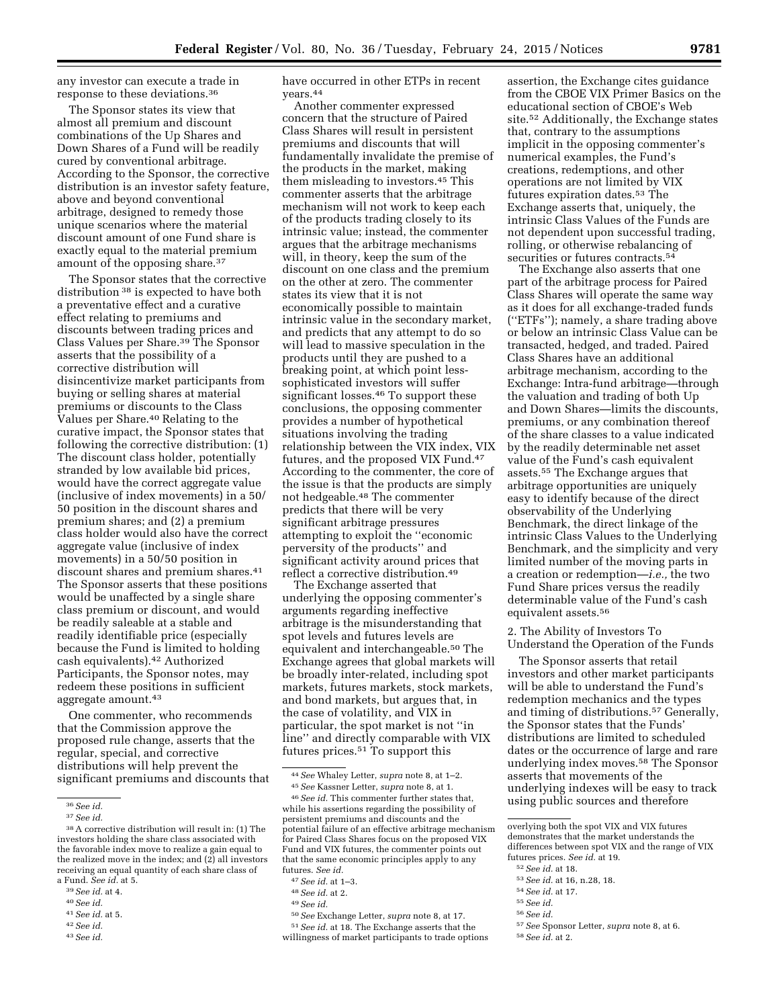any investor can execute a trade in response to these deviations.36

The Sponsor states its view that almost all premium and discount combinations of the Up Shares and Down Shares of a Fund will be readily cured by conventional arbitrage. According to the Sponsor, the corrective distribution is an investor safety feature, above and beyond conventional arbitrage, designed to remedy those unique scenarios where the material discount amount of one Fund share is exactly equal to the material premium amount of the opposing share.37

The Sponsor states that the corrective distribution 38 is expected to have both a preventative effect and a curative effect relating to premiums and discounts between trading prices and Class Values per Share.39 The Sponsor asserts that the possibility of a corrective distribution will disincentivize market participants from buying or selling shares at material premiums or discounts to the Class Values per Share.40 Relating to the curative impact, the Sponsor states that following the corrective distribution: (1) The discount class holder, potentially stranded by low available bid prices, would have the correct aggregate value (inclusive of index movements) in a 50/ 50 position in the discount shares and premium shares; and (2) a premium class holder would also have the correct aggregate value (inclusive of index movements) in a 50/50 position in discount shares and premium shares.41 The Sponsor asserts that these positions would be unaffected by a single share class premium or discount, and would be readily saleable at a stable and readily identifiable price (especially because the Fund is limited to holding cash equivalents).42 Authorized Participants, the Sponsor notes, may redeem these positions in sufficient aggregate amount.<sup>43</sup>

One commenter, who recommends that the Commission approve the proposed rule change, asserts that the regular, special, and corrective distributions will help prevent the significant premiums and discounts that

have occurred in other ETPs in recent years.44

Another commenter expressed concern that the structure of Paired Class Shares will result in persistent premiums and discounts that will fundamentally invalidate the premise of the products in the market, making them misleading to investors.45 This commenter asserts that the arbitrage mechanism will not work to keep each of the products trading closely to its intrinsic value; instead, the commenter argues that the arbitrage mechanisms will, in theory, keep the sum of the discount on one class and the premium on the other at zero. The commenter states its view that it is not economically possible to maintain intrinsic value in the secondary market, and predicts that any attempt to do so will lead to massive speculation in the products until they are pushed to a breaking point, at which point lesssophisticated investors will suffer significant losses.46 To support these conclusions, the opposing commenter provides a number of hypothetical situations involving the trading relationship between the VIX index, VIX futures, and the proposed VIX Fund.47 According to the commenter, the core of the issue is that the products are simply not hedgeable.48 The commenter predicts that there will be very significant arbitrage pressures attempting to exploit the ''economic perversity of the products'' and significant activity around prices that reflect a corrective distribution.49

The Exchange asserted that underlying the opposing commenter's arguments regarding ineffective arbitrage is the misunderstanding that spot levels and futures levels are equivalent and interchangeable.50 The Exchange agrees that global markets will be broadly inter-related, including spot markets, futures markets, stock markets, and bond markets, but argues that, in the case of volatility, and VIX in particular, the spot market is not ''in line'' and directly comparable with VIX futures prices.51 To support this

51*See id.* at 18. The Exchange asserts that the willingness of market participants to trade options

assertion, the Exchange cites guidance from the CBOE VIX Primer Basics on the educational section of CBOE's Web site.52 Additionally, the Exchange states that, contrary to the assumptions implicit in the opposing commenter's numerical examples, the Fund's creations, redemptions, and other operations are not limited by VIX futures expiration dates.53 The Exchange asserts that, uniquely, the intrinsic Class Values of the Funds are not dependent upon successful trading, rolling, or otherwise rebalancing of securities or futures contracts.<sup>54</sup>

The Exchange also asserts that one part of the arbitrage process for Paired Class Shares will operate the same way as it does for all exchange-traded funds (''ETFs''); namely, a share trading above or below an intrinsic Class Value can be transacted, hedged, and traded. Paired Class Shares have an additional arbitrage mechanism, according to the Exchange: Intra-fund arbitrage—through the valuation and trading of both Up and Down Shares—limits the discounts, premiums, or any combination thereof of the share classes to a value indicated by the readily determinable net asset value of the Fund's cash equivalent assets.55 The Exchange argues that arbitrage opportunities are uniquely easy to identify because of the direct observability of the Underlying Benchmark, the direct linkage of the intrinsic Class Values to the Underlying Benchmark, and the simplicity and very limited number of the moving parts in a creation or redemption—*i.e.,* the two Fund Share prices versus the readily determinable value of the Fund's cash equivalent assets.56

2. The Ability of Investors To Understand the Operation of the Funds

The Sponsor asserts that retail investors and other market participants will be able to understand the Fund's redemption mechanics and the types and timing of distributions.57 Generally, the Sponsor states that the Funds' distributions are limited to scheduled dates or the occurrence of large and rare underlying index moves.58 The Sponsor asserts that movements of the underlying indexes will be easy to track using public sources and therefore

- 53*See id.* at 16, n.28, 18.
- 54*See id.* at 17.
- 55*See id.*
- 56*See id.*
- 57*See* Sponsor Letter, *supra* note 8, at 6.
- 58*See id.* at 2.

<sup>36</sup>*See id.* 

<sup>37</sup>*See id.* 

<sup>38</sup>A corrective distribution will result in: (1) The investors holding the share class associated with the favorable index move to realize a gain equal to the realized move in the index; and (2) all investors receiving an equal quantity of each share class of a Fund. *See id.* at 5.

<sup>39</sup>*See id.* at 4.

<sup>40</sup>*See id.* 

<sup>41</sup>*See id.* at 5.

<sup>42</sup>*See id.* 

<sup>43</sup>*See id.* 

<sup>44</sup>*See* Whaley Letter, *supra* note 8, at 1–2. 45*See* Kassner Letter, *supra* note 8, at 1.

<sup>46</sup>*See id.* This commenter further states that, while his assertions regarding the possibility of persistent premiums and discounts and the potential failure of an effective arbitrage mechanism for Paired Class Shares focus on the proposed VIX Fund and VIX futures, the commenter points out that the same economic principles apply to any futures. *See id.* 

<sup>47</sup>*See id.* at 1–3.

<sup>48</sup>*See id.* at 2.

<sup>49</sup>*See id.* 

<sup>50</sup>*See* Exchange Letter, *supra* note 8, at 17.

overlying both the spot VIX and VIX futures demonstrates that the market understands the differences between spot VIX and the range of VIX futures prices. *See id.* at 19.

<sup>52</sup>*See id.* at 18.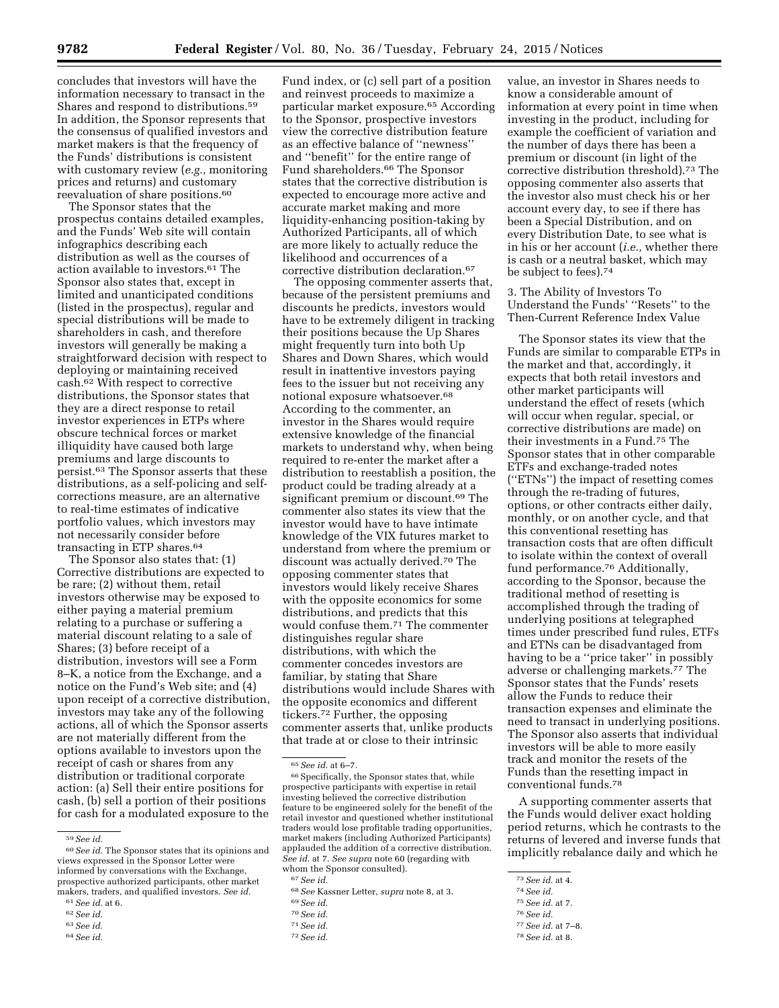concludes that investors will have the information necessary to transact in the Shares and respond to distributions.59 In addition, the Sponsor represents that the consensus of qualified investors and market makers is that the frequency of the Funds' distributions is consistent with customary review (*e.g.,* monitoring prices and returns) and customary reevaluation of share positions.<sup>60</sup>

The Sponsor states that the prospectus contains detailed examples, and the Funds' Web site will contain infographics describing each distribution as well as the courses of action available to investors.61 The Sponsor also states that, except in limited and unanticipated conditions (listed in the prospectus), regular and special distributions will be made to shareholders in cash, and therefore investors will generally be making a straightforward decision with respect to deploying or maintaining received cash.62 With respect to corrective distributions, the Sponsor states that they are a direct response to retail investor experiences in ETPs where obscure technical forces or market illiquidity have caused both large premiums and large discounts to persist.63 The Sponsor asserts that these distributions, as a self-policing and selfcorrections measure, are an alternative to real-time estimates of indicative portfolio values, which investors may not necessarily consider before transacting in ETP shares.64

The Sponsor also states that: (1) Corrective distributions are expected to be rare; (2) without them, retail investors otherwise may be exposed to either paying a material premium relating to a purchase or suffering a material discount relating to a sale of Shares; (3) before receipt of a distribution, investors will see a Form 8–K, a notice from the Exchange, and a notice on the Fund's Web site; and (4) upon receipt of a corrective distribution, investors may take any of the following actions, all of which the Sponsor asserts are not materially different from the options available to investors upon the receipt of cash or shares from any distribution or traditional corporate action: (a) Sell their entire positions for cash, (b) sell a portion of their positions for cash for a modulated exposure to the

63*See id.* 

Fund index, or (c) sell part of a position and reinvest proceeds to maximize a particular market exposure.65 According to the Sponsor, prospective investors view the corrective distribution feature as an effective balance of ''newness'' and ''benefit'' for the entire range of Fund shareholders.66 The Sponsor states that the corrective distribution is expected to encourage more active and accurate market making and more liquidity-enhancing position-taking by Authorized Participants, all of which are more likely to actually reduce the likelihood and occurrences of a corrective distribution declaration.67

The opposing commenter asserts that, because of the persistent premiums and discounts he predicts, investors would have to be extremely diligent in tracking their positions because the Up Shares might frequently turn into both Up Shares and Down Shares, which would result in inattentive investors paying fees to the issuer but not receiving any notional exposure whatsoever.<sup>68</sup> According to the commenter, an investor in the Shares would require extensive knowledge of the financial markets to understand why, when being required to re-enter the market after a distribution to reestablish a position, the product could be trading already at a significant premium or discount.69 The commenter also states its view that the investor would have to have intimate knowledge of the VIX futures market to understand from where the premium or discount was actually derived.70 The opposing commenter states that investors would likely receive Shares with the opposite economics for some distributions, and predicts that this would confuse them.71 The commenter distinguishes regular share distributions, with which the commenter concedes investors are familiar, by stating that Share distributions would include Shares with the opposite economics and different tickers.72 Further, the opposing commenter asserts that, unlike products that trade at or close to their intrinsic

value, an investor in Shares needs to know a considerable amount of information at every point in time when investing in the product, including for example the coefficient of variation and the number of days there has been a premium or discount (in light of the corrective distribution threshold).73 The opposing commenter also asserts that the investor also must check his or her account every day, to see if there has been a Special Distribution, and on every Distribution Date, to see what is in his or her account (*i.e.,* whether there is cash or a neutral basket, which may be subject to fees).74

3. The Ability of Investors To Understand the Funds' ''Resets'' to the Then-Current Reference Index Value

The Sponsor states its view that the Funds are similar to comparable ETPs in the market and that, accordingly, it expects that both retail investors and other market participants will understand the effect of resets (which will occur when regular, special, or corrective distributions are made) on their investments in a Fund.75 The Sponsor states that in other comparable ETFs and exchange-traded notes (''ETNs'') the impact of resetting comes through the re-trading of futures, options, or other contracts either daily, monthly, or on another cycle, and that this conventional resetting has transaction costs that are often difficult to isolate within the context of overall fund performance.76 Additionally, according to the Sponsor, because the traditional method of resetting is accomplished through the trading of underlying positions at telegraphed times under prescribed fund rules, ETFs and ETNs can be disadvantaged from having to be a ''price taker'' in possibly adverse or challenging markets.77 The Sponsor states that the Funds' resets allow the Funds to reduce their transaction expenses and eliminate the need to transact in underlying positions. The Sponsor also asserts that individual investors will be able to more easily track and monitor the resets of the Funds than the resetting impact in conventional funds.78

A supporting commenter asserts that the Funds would deliver exact holding period returns, which he contrasts to the returns of levered and inverse funds that implicitly rebalance daily and which he

- 75*See id.* at 7.
- 76*See id.*

78*See id.* at 8.

<sup>59</sup>*See id.* 

<sup>60</sup>*See id.* The Sponsor states that its opinions and views expressed in the Sponsor Letter were informed by conversations with the Exchange, prospective authorized participants, other market makers, traders, and qualified investors. *See id.* 

<sup>61</sup>*See id.* at 6.

<sup>62</sup>*See id.* 

<sup>64</sup>*See id.* 

<sup>65</sup>*See id.* at 6–7.

<sup>66</sup>Specifically, the Sponsor states that, while prospective participants with expertise in retail investing believed the corrective distribution feature to be engineered solely for the benefit of the retail investor and questioned whether institutional traders would lose profitable trading opportunities, market makers (including Authorized Participants) applauded the addition of a corrective distribution. *See id.* at 7. *See supra* note 60 (regarding with whom the Sponsor consulted).

<sup>67</sup>*See id.* 

<sup>68</sup>*See* Kassner Letter, *supra* note 8, at 3.

<sup>69</sup>*See id.* 

<sup>70</sup>*See id.* 

<sup>71</sup>*See id.* 

<sup>72</sup>*See id.* 

<sup>73</sup>*See id.* at 4.

<sup>74</sup>*See id.* 

<sup>77</sup>*See id.* at 7–8.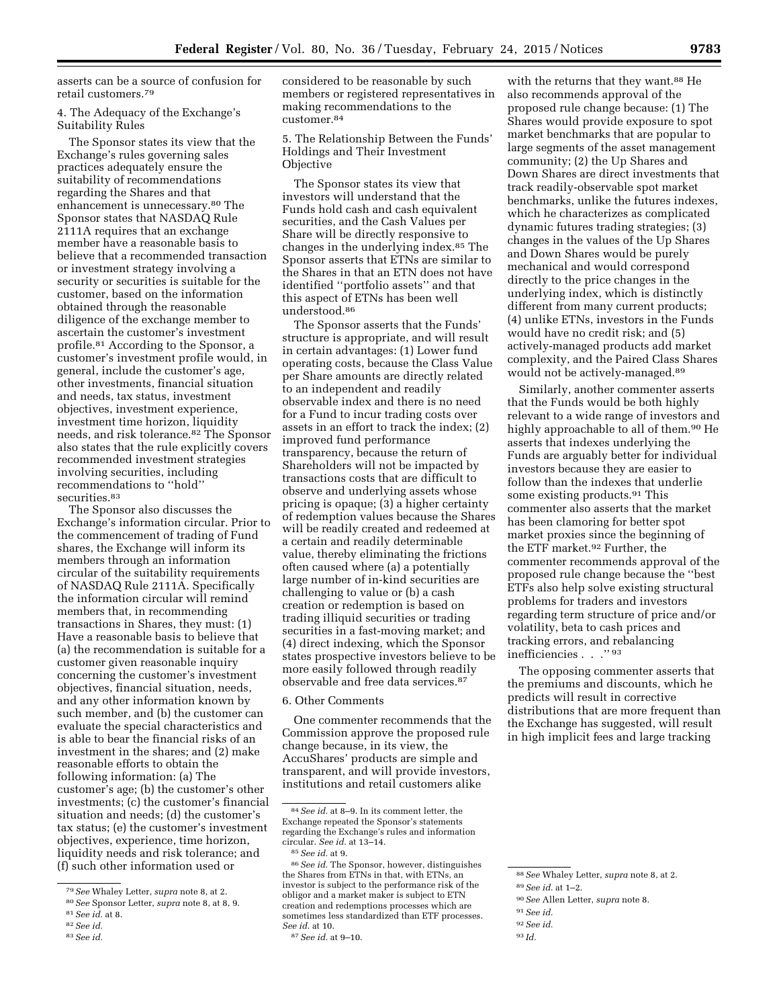asserts can be a source of confusion for retail customers.79

4. The Adequacy of the Exchange's Suitability Rules

The Sponsor states its view that the Exchange's rules governing sales practices adequately ensure the suitability of recommendations regarding the Shares and that enhancement is unnecessary.80 The Sponsor states that NASDAQ Rule 2111A requires that an exchange member have a reasonable basis to believe that a recommended transaction or investment strategy involving a security or securities is suitable for the customer, based on the information obtained through the reasonable diligence of the exchange member to ascertain the customer's investment profile.81 According to the Sponsor, a customer's investment profile would, in general, include the customer's age, other investments, financial situation and needs, tax status, investment objectives, investment experience, investment time horizon, liquidity needs, and risk tolerance.82 The Sponsor also states that the rule explicitly covers recommended investment strategies involving securities, including recommendations to ''hold'' securities.<sup>83</sup>

The Sponsor also discusses the Exchange's information circular. Prior to the commencement of trading of Fund shares, the Exchange will inform its members through an information circular of the suitability requirements of NASDAQ Rule 2111A. Specifically the information circular will remind members that, in recommending transactions in Shares, they must: (1) Have a reasonable basis to believe that (a) the recommendation is suitable for a customer given reasonable inquiry concerning the customer's investment objectives, financial situation, needs, and any other information known by such member, and (b) the customer can evaluate the special characteristics and is able to bear the financial risks of an investment in the shares; and (2) make reasonable efforts to obtain the following information: (a) The customer's age; (b) the customer's other investments; (c) the customer's financial situation and needs; (d) the customer's tax status; (e) the customer's investment objectives, experience, time horizon, liquidity needs and risk tolerance; and (f) such other information used or

83*See id.* 

considered to be reasonable by such members or registered representatives in making recommendations to the customer.84

5. The Relationship Between the Funds' Holdings and Their Investment **Objective** 

The Sponsor states its view that investors will understand that the Funds hold cash and cash equivalent securities, and the Cash Values per Share will be directly responsive to changes in the underlying index.85 The Sponsor asserts that ETNs are similar to the Shares in that an ETN does not have identified ''portfolio assets'' and that this aspect of ETNs has been well understood.86

The Sponsor asserts that the Funds' structure is appropriate, and will result in certain advantages: (1) Lower fund operating costs, because the Class Value per Share amounts are directly related to an independent and readily observable index and there is no need for a Fund to incur trading costs over assets in an effort to track the index; (2) improved fund performance transparency, because the return of Shareholders will not be impacted by transactions costs that are difficult to observe and underlying assets whose pricing is opaque; (3) a higher certainty of redemption values because the Shares will be readily created and redeemed at a certain and readily determinable value, thereby eliminating the frictions often caused where (a) a potentially large number of in-kind securities are challenging to value or (b) a cash creation or redemption is based on trading illiquid securities or trading securities in a fast-moving market; and (4) direct indexing, which the Sponsor states prospective investors believe to be more easily followed through readily observable and free data services.87

6. Other Comments

One commenter recommends that the Commission approve the proposed rule change because, in its view, the AccuShares' products are simple and transparent, and will provide investors, institutions and retail customers alike

with the returns that they want.<sup>88</sup> He also recommends approval of the proposed rule change because: (1) The Shares would provide exposure to spot market benchmarks that are popular to large segments of the asset management community; (2) the Up Shares and Down Shares are direct investments that track readily-observable spot market benchmarks, unlike the futures indexes, which he characterizes as complicated dynamic futures trading strategies; (3) changes in the values of the Up Shares and Down Shares would be purely mechanical and would correspond directly to the price changes in the underlying index, which is distinctly different from many current products; (4) unlike ETNs, investors in the Funds would have no credit risk; and (5) actively-managed products add market complexity, and the Paired Class Shares would not be actively-managed.89

Similarly, another commenter asserts that the Funds would be both highly relevant to a wide range of investors and highly approachable to all of them.<sup>90</sup> He asserts that indexes underlying the Funds are arguably better for individual investors because they are easier to follow than the indexes that underlie some existing products.91 This commenter also asserts that the market has been clamoring for better spot market proxies since the beginning of the ETF market.92 Further, the commenter recommends approval of the proposed rule change because the ''best ETFs also help solve existing structural problems for traders and investors regarding term structure of price and/or volatility, beta to cash prices and tracking errors, and rebalancing inefficiencies . . .'' 93

The opposing commenter asserts that the premiums and discounts, which he predicts will result in corrective distributions that are more frequent than the Exchange has suggested, will result in high implicit fees and large tracking

- 91*See id.*
- 92*See id.*

<sup>79</sup>*See* Whaley Letter, *supra* note 8, at 2.

<sup>80</sup>*See* Sponsor Letter, *supra* note 8, at 8, 9.

<sup>81</sup>*See id.* at 8.

<sup>82</sup>*See id.* 

<sup>84</sup>*See id.* at 8–9. In its comment letter, the Exchange repeated the Sponsor's statements regarding the Exchange's rules and information circular. *See id.* at 13–14. 85*See id.* at 9.

<sup>86</sup>*See id.* The Sponsor, however, distinguishes the Shares from ETNs in that, with ETNs, an investor is subject to the performance risk of the obligor and a market maker is subject to ETN creation and redemptions processes which are sometimes less standardized than ETF processes. *See id.* at 10.

<sup>87</sup>*See id.* at 9–10.

<sup>88</sup>*See* Whaley Letter, *supra* note 8, at 2.

<sup>89</sup>*See id.* at 1–2. 90*See* Allen Letter, *supra* note 8.

<sup>93</sup> *Id.*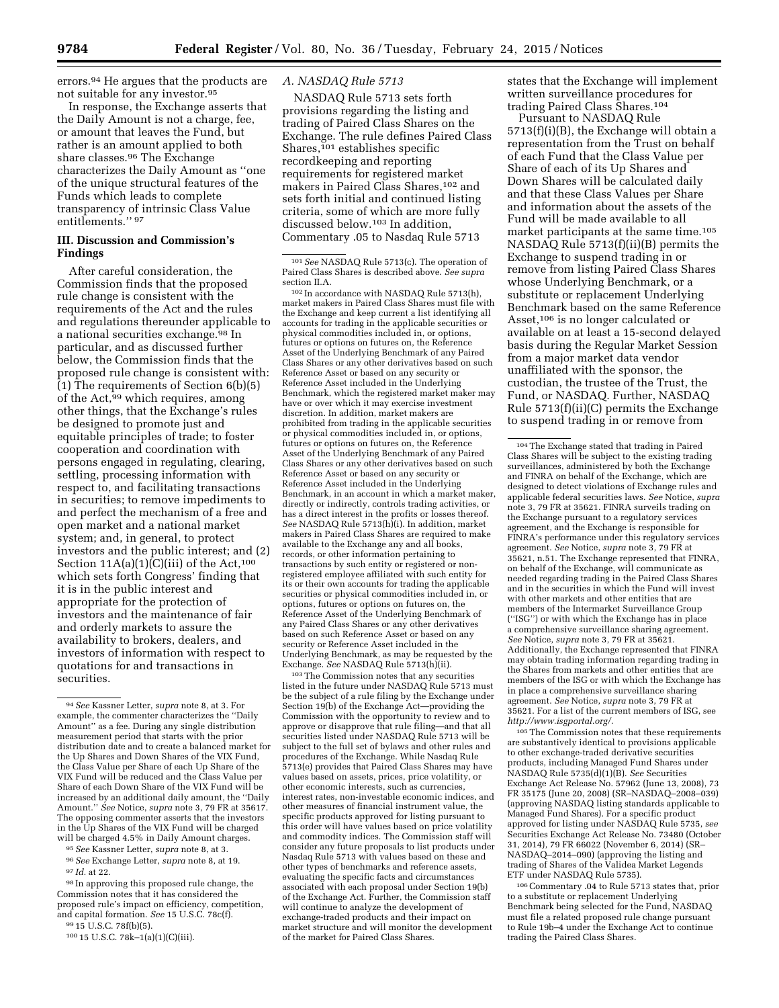errors.94 He argues that the products are not suitable for any investor.95

In response, the Exchange asserts that the Daily Amount is not a charge, fee, or amount that leaves the Fund, but rather is an amount applied to both share classes.96 The Exchange characterizes the Daily Amount as ''one of the unique structural features of the Funds which leads to complete transparency of intrinsic Class Value entitlements." 97

## **III. Discussion and Commission's Findings**

After careful consideration, the Commission finds that the proposed rule change is consistent with the requirements of the Act and the rules and regulations thereunder applicable to a national securities exchange.98 In particular, and as discussed further below, the Commission finds that the proposed rule change is consistent with: (1) The requirements of Section 6(b)(5) of the Act,<sup>99</sup> which requires, among other things, that the Exchange's rules be designed to promote just and equitable principles of trade; to foster cooperation and coordination with persons engaged in regulating, clearing, settling, processing information with respect to, and facilitating transactions in securities; to remove impediments to and perfect the mechanism of a free and open market and a national market system; and, in general, to protect investors and the public interest; and (2) Section  $11A(a)(1)(C(iii)$  of the Act,<sup>100</sup> which sets forth Congress' finding that it is in the public interest and appropriate for the protection of investors and the maintenance of fair and orderly markets to assure the availability to brokers, dealers, and investors of information with respect to quotations for and transactions in securities.

95*See* Kassner Letter, *supra* note 8, at 3. 96*See* Exchange Letter, *supra* note 8, at 19.

97 *Id.* at 22.

98 In approving this proposed rule change, the Commission notes that it has considered the proposed rule's impact on efficiency, competition, and capital formation. *See* 15 U.S.C. 78c(f).

99 15 U.S.C. 78f(b)(5).

# *A. NASDAQ Rule 5713*

NASDAQ Rule 5713 sets forth provisions regarding the listing and trading of Paired Class Shares on the Exchange. The rule defines Paired Class Shares,<sup>101</sup> establishes specific recordkeeping and reporting requirements for registered market makers in Paired Class Shares,<sup>102</sup> and sets forth initial and continued listing criteria, some of which are more fully discussed below.103 In addition, Commentary .05 to Nasdaq Rule 5713

101*See* NASDAQ Rule 5713(c). The operation of Paired Class Shares is described above. *See supra* 

102 In accordance with NASDAQ Rule 5713(h), market makers in Paired Class Shares must file with the Exchange and keep current a list identifying all accounts for trading in the applicable securities or physical commodities included in, or options, futures or options on futures on, the Reference Asset of the Underlying Benchmark of any Paired Class Shares or any other derivatives based on such Reference Asset or based on any security or Reference Asset included in the Underlying Benchmark, which the registered market maker may have or over which it may exercise investment discretion. In addition, market makers are prohibited from trading in the applicable securities or physical commodities included in, or options, futures or options on futures on, the Reference Asset of the Underlying Benchmark of any Paired Class Shares or any other derivatives based on such Reference Asset or based on any security or Reference Asset included in the Underlying Benchmark, in an account in which a market maker, directly or indirectly, controls trading activities, or has a direct interest in the profits or losses thereof. *See* NASDAQ Rule 5713(h)(i). In addition, market makers in Paired Class Shares are required to make available to the Exchange any and all books, records, or other information pertaining to transactions by such entity or registered or nonregistered employee affiliated with such entity for its or their own accounts for trading the applicable securities or physical commodities included in, or options, futures or options on futures on, the Reference Asset of the Underlying Benchmark of any Paired Class Shares or any other derivatives based on such Reference Asset or based on any security or Reference Asset included in the Underlying Benchmark, as may be requested by the Exchange. *See* NASDAQ Rule 5713(h)(ii).

103The Commission notes that any securities listed in the future under NASDAQ Rule 5713 must be the subject of a rule filing by the Exchange under Section 19(b) of the Exchange Act—providing the Commission with the opportunity to review and to approve or disapprove that rule filing—and that all securities listed under NASDAQ Rule 5713 will be subject to the full set of bylaws and other rules and procedures of the Exchange. While Nasdaq Rule 5713(e) provides that Paired Class Shares may have values based on assets, prices, price volatility, or other economic interests, such as currencies, interest rates, non-investable economic indices, and other measures of financial instrument value, the specific products approved for listing pursuant to this order will have values based on price volatility and commodity indices. The Commission staff will consider any future proposals to list products under Nasdaq Rule 5713 with values based on these and other types of benchmarks and reference assets, evaluating the specific facts and circumstances associated with each proposal under Section 19(b) of the Exchange Act. Further, the Commission staff will continue to analyze the development of exchange-traded products and their impact on market structure and will monitor the development of the market for Paired Class Shares.

states that the Exchange will implement written surveillance procedures for trading Paired Class Shares.104

Pursuant to NASDAQ Rule 5713(f)(i)(B), the Exchange will obtain a representation from the Trust on behalf of each Fund that the Class Value per Share of each of its Up Shares and Down Shares will be calculated daily and that these Class Values per Share and information about the assets of the Fund will be made available to all market participants at the same time.105 NASDAQ Rule 5713(f)(ii)(B) permits the Exchange to suspend trading in or remove from listing Paired Class Shares whose Underlying Benchmark, or a substitute or replacement Underlying Benchmark based on the same Reference Asset,106 is no longer calculated or available on at least a 15-second delayed basis during the Regular Market Session from a major market data vendor unaffiliated with the sponsor, the custodian, the trustee of the Trust, the Fund, or NASDAQ. Further, NASDAQ Rule 5713(f)(ii)(C) permits the Exchange to suspend trading in or remove from

105The Commission notes that these requirements are substantively identical to provisions applicable to other exchange-traded derivative securities products, including Managed Fund Shares under NASDAQ Rule 5735(d)(1)(B). *See* Securities Exchange Act Release No. 57962 (June 13, 2008), 73 FR 35175 (June 20, 2008) (SR–NASDAQ–2008–039) (approving NASDAQ listing standards applicable to Managed Fund Shares). For a specific product approved for listing under NASDAQ Rule 5735, *see*  Securities Exchange Act Release No. 73480 (October 31, 2014), 79 FR 66022 (November 6, 2014) (SR– NASDAQ–2014–090) (approving the listing and trading of Shares of the Validea Market Legends ETF under NASDAQ Rule 5735).

106Commentary .04 to Rule 5713 states that, prior to a substitute or replacement Underlying Benchmark being selected for the Fund, NASDAQ must file a related proposed rule change pursuant to Rule 19b–4 under the Exchange Act to continue trading the Paired Class Shares.

<sup>94</sup>*See* Kassner Letter, *supra* note 8, at 3. For example, the commenter characterizes the ''Daily Amount'' as a fee. During any single distribution measurement period that starts with the prior distribution date and to create a balanced market for the Up Shares and Down Shares of the VIX Fund, the Class Value per Share of each Up Share of the VIX Fund will be reduced and the Class Value per Share of each Down Share of the VIX Fund will be increased by an additional daily amount, the ''Daily Amount.'' *See* Notice, *supra* note 3, 79 FR at 35617. The opposing commenter asserts that the investors in the Up Shares of the VIX Fund will be charged will be charged 4.5% in Daily Amount charges

<sup>100</sup> 15 U.S.C. 78k–1(a)(1)(C)(iii).

<sup>104</sup>The Exchange stated that trading in Paired Class Shares will be subject to the existing trading surveillances, administered by both the Exchange and FINRA on behalf of the Exchange, which are designed to detect violations of Exchange rules and applicable federal securities laws. *See* Notice, *supra*  note 3, 79 FR at 35621. FINRA surveils trading on the Exchange pursuant to a regulatory services agreement, and the Exchange is responsible for FINRA's performance under this regulatory services agreement. *See* Notice, *supra* note 3, 79 FR at 35621, n.51. The Exchange represented that FINRA, on behalf of the Exchange, will communicate as needed regarding trading in the Paired Class Shares and in the securities in which the Fund will invest with other markets and other entities that are members of the Intermarket Surveillance Group (''ISG'') or with which the Exchange has in place a comprehensive surveillance sharing agreement. *See* Notice, *supra* note 3, 79 FR at 35621. Additionally, the Exchange represented that FINRA may obtain trading information regarding trading in the Shares from markets and other entities that are members of the ISG or with which the Exchange has in place a comprehensive surveillance sharing agreement. *See* Notice, *supra* note 3, 79 FR at 35621. For a list of the current members of ISG, see *[http://www.isgportal.org/.](http://www.isgportal.org/)*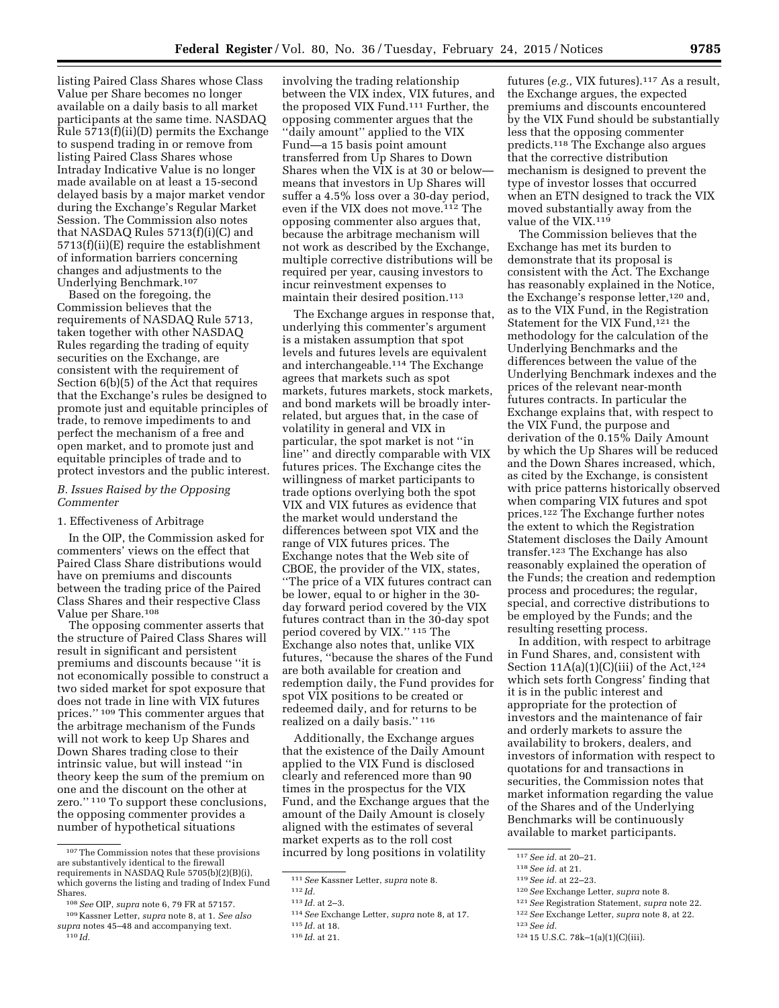listing Paired Class Shares whose Class Value per Share becomes no longer available on a daily basis to all market participants at the same time. NASDAQ Rule 5713(f)(ii)(D) permits the Exchange to suspend trading in or remove from listing Paired Class Shares whose Intraday Indicative Value is no longer made available on at least a 15-second delayed basis by a major market vendor during the Exchange's Regular Market Session. The Commission also notes that NASDAQ Rules 5713(f)(i)(C) and 5713(f)(ii)(E) require the establishment of information barriers concerning changes and adjustments to the Underlying Benchmark.107

Based on the foregoing, the Commission believes that the requirements of NASDAQ Rule 5713, taken together with other NASDAQ Rules regarding the trading of equity securities on the Exchange, are consistent with the requirement of Section 6(b)(5) of the Act that requires that the Exchange's rules be designed to promote just and equitable principles of trade, to remove impediments to and perfect the mechanism of a free and open market, and to promote just and equitable principles of trade and to protect investors and the public interest.

# *B. Issues Raised by the Opposing Commenter*

## 1. Effectiveness of Arbitrage

In the OIP, the Commission asked for commenters' views on the effect that Paired Class Share distributions would have on premiums and discounts between the trading price of the Paired Class Shares and their respective Class Value per Share.108

The opposing commenter asserts that the structure of Paired Class Shares will result in significant and persistent premiums and discounts because ''it is not economically possible to construct a two sided market for spot exposure that does not trade in line with VIX futures prices.'' 109 This commenter argues that the arbitrage mechanism of the Funds will not work to keep Up Shares and Down Shares trading close to their intrinsic value, but will instead ''in theory keep the sum of the premium on one and the discount on the other at zero.'' 110 To support these conclusions, the opposing commenter provides a number of hypothetical situations

involving the trading relationship between the VIX index, VIX futures, and the proposed VIX Fund.111 Further, the opposing commenter argues that the ''daily amount'' applied to the VIX Fund—a 15 basis point amount transferred from Up Shares to Down Shares when the VIX is at 30 or below means that investors in Up Shares will suffer a 4.5% loss over a 30-day period, even if the VIX does not move.112 The opposing commenter also argues that, because the arbitrage mechanism will not work as described by the Exchange, multiple corrective distributions will be required per year, causing investors to incur reinvestment expenses to maintain their desired position.113

The Exchange argues in response that, underlying this commenter's argument is a mistaken assumption that spot levels and futures levels are equivalent and interchangeable.114 The Exchange agrees that markets such as spot markets, futures markets, stock markets, and bond markets will be broadly interrelated, but argues that, in the case of volatility in general and VIX in particular, the spot market is not ''in line'' and directly comparable with VIX futures prices. The Exchange cites the willingness of market participants to trade options overlying both the spot VIX and VIX futures as evidence that the market would understand the differences between spot VIX and the range of VIX futures prices. The Exchange notes that the Web site of CBOE, the provider of the VIX, states, ''The price of a VIX futures contract can be lower, equal to or higher in the 30 day forward period covered by the VIX futures contract than in the 30-day spot period covered by VIX.'' 115 The Exchange also notes that, unlike VIX futures, ''because the shares of the Fund are both available for creation and redemption daily, the Fund provides for spot VIX positions to be created or redeemed daily, and for returns to be realized on a daily basis.'' 116

Additionally, the Exchange argues that the existence of the Daily Amount applied to the VIX Fund is disclosed clearly and referenced more than 90 times in the prospectus for the VIX Fund, and the Exchange argues that the amount of the Daily Amount is closely aligned with the estimates of several market experts as to the roll cost incurred by long positions in volatility

futures (*e.g.,* VIX futures).117 As a result, the Exchange argues, the expected premiums and discounts encountered by the VIX Fund should be substantially less that the opposing commenter predicts.118 The Exchange also argues that the corrective distribution mechanism is designed to prevent the type of investor losses that occurred when an ETN designed to track the VIX moved substantially away from the value of the VIX.119

The Commission believes that the Exchange has met its burden to demonstrate that its proposal is consistent with the Act. The Exchange has reasonably explained in the Notice, the Exchange's response letter,120 and, as to the VIX Fund, in the Registration Statement for the VIX Fund,<sup>121</sup> the methodology for the calculation of the Underlying Benchmarks and the differences between the value of the Underlying Benchmark indexes and the prices of the relevant near-month futures contracts. In particular the Exchange explains that, with respect to the VIX Fund, the purpose and derivation of the 0.15% Daily Amount by which the Up Shares will be reduced and the Down Shares increased, which, as cited by the Exchange, is consistent with price patterns historically observed when comparing VIX futures and spot prices.122 The Exchange further notes the extent to which the Registration Statement discloses the Daily Amount transfer.123 The Exchange has also reasonably explained the operation of the Funds; the creation and redemption process and procedures; the regular, special, and corrective distributions to be employed by the Funds; and the resulting resetting process.

In addition, with respect to arbitrage in Fund Shares, and, consistent with Section  $11A(a)(1)(C)(iii)$  of the Act,<sup>124</sup> which sets forth Congress' finding that it is in the public interest and appropriate for the protection of investors and the maintenance of fair and orderly markets to assure the availability to brokers, dealers, and investors of information with respect to quotations for and transactions in securities, the Commission notes that market information regarding the value of the Shares and of the Underlying Benchmarks will be continuously available to market participants.

122*See* Exchange Letter, *supra* note 8, at 22.

124 15 U.S.C. 78k–1(a)(1)(C)(iii).

<sup>107</sup>The Commission notes that these provisions are substantively identical to the firewall requirements in NASDAQ Rule 5705(b)(2)(B)(i), which governs the listing and trading of Index Fund **Shares** 

<sup>108</sup>*See* OIP, *supra* note 6, 79 FR at 57157.

<sup>109</sup> Kassner Letter, *supra* note 8, at 1. *See also supra* notes 45–48 and accompanying text. 110 *Id.* 

<sup>111</sup>*See* Kassner Letter, *supra* note 8.

<sup>112</sup> *Id.* 

<sup>113</sup> *Id.* at 2–3.

<sup>114</sup>*See* Exchange Letter, *supra* note 8, at 17.

<sup>115</sup> *Id.* at 18.

<sup>116</sup> *Id.* at 21.

<sup>117</sup>*See id.* at 20–21.

<sup>118</sup>*See id.* at 21.

<sup>119</sup>*See id.* at 22–23.

<sup>120</sup>*See* Exchange Letter, *supra* note 8.

<sup>121</sup>*See* Registration Statement, *supra* note 22.

<sup>123</sup>*See id.*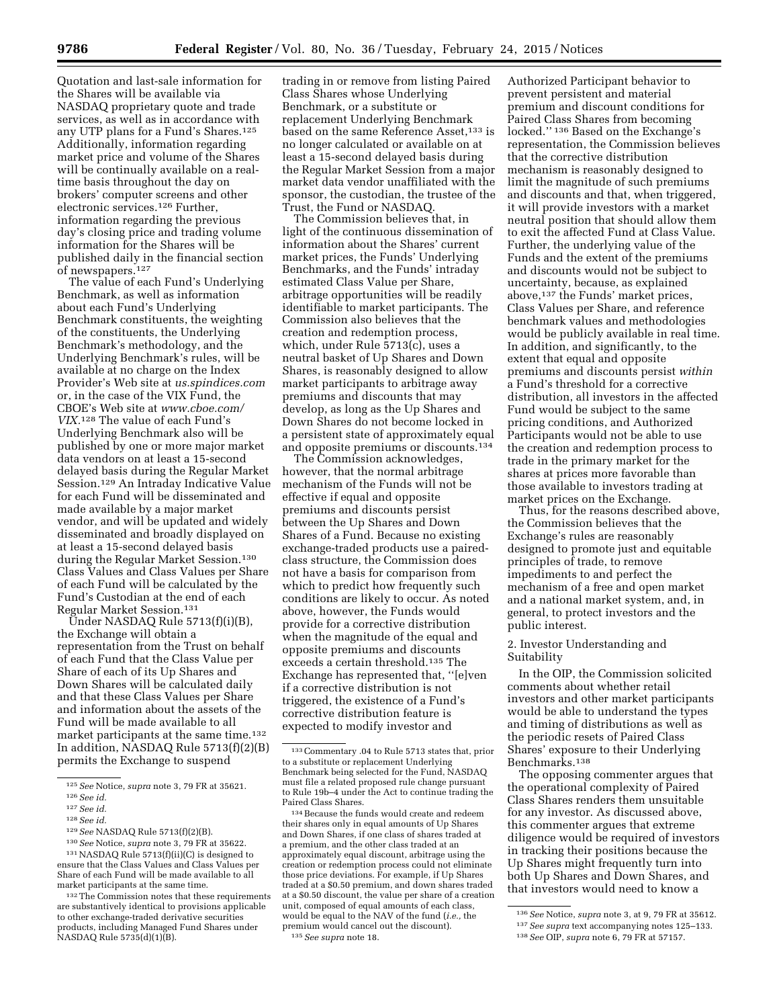Quotation and last-sale information for the Shares will be available via NASDAQ proprietary quote and trade services, as well as in accordance with any UTP plans for a Fund's Shares.125 Additionally, information regarding market price and volume of the Shares will be continually available on a realtime basis throughout the day on brokers' computer screens and other electronic services.126 Further, information regarding the previous day's closing price and trading volume information for the Shares will be published daily in the financial section of newspapers.127

The value of each Fund's Underlying Benchmark, as well as information about each Fund's Underlying Benchmark constituents, the weighting of the constituents, the Underlying Benchmark's methodology, and the Underlying Benchmark's rules, will be available at no charge on the Index Provider's Web site at *us.spindices.com*  or, in the case of the VIX Fund, the CBOE's Web site at *[www.cboe.com/](http://www.cboe.com/VIX) [VIX.](http://www.cboe.com/VIX)*128 The value of each Fund's Underlying Benchmark also will be published by one or more major market data vendors on at least a 15-second delayed basis during the Regular Market Session.129 An Intraday Indicative Value for each Fund will be disseminated and made available by a major market vendor, and will be updated and widely disseminated and broadly displayed on at least a 15-second delayed basis during the Regular Market Session.<sup>130</sup> Class Values and Class Values per Share of each Fund will be calculated by the Fund's Custodian at the end of each Regular Market Session.131

Under NASDAQ Rule 5713(f)(i)(B), the Exchange will obtain a representation from the Trust on behalf of each Fund that the Class Value per Share of each of its Up Shares and Down Shares will be calculated daily and that these Class Values per Share and information about the assets of the Fund will be made available to all market participants at the same time.<sup>132</sup> In addition, NASDAQ Rule 5713(f)(2)(B) permits the Exchange to suspend

trading in or remove from listing Paired Class Shares whose Underlying Benchmark, or a substitute or replacement Underlying Benchmark based on the same Reference Asset,<sup>133</sup> is no longer calculated or available on at least a 15-second delayed basis during the Regular Market Session from a major market data vendor unaffiliated with the sponsor, the custodian, the trustee of the Trust, the Fund or NASDAQ.

The Commission believes that, in light of the continuous dissemination of information about the Shares' current market prices, the Funds' Underlying Benchmarks, and the Funds' intraday estimated Class Value per Share, arbitrage opportunities will be readily identifiable to market participants. The Commission also believes that the creation and redemption process, which, under Rule 5713(c), uses a neutral basket of Up Shares and Down Shares, is reasonably designed to allow market participants to arbitrage away premiums and discounts that may develop, as long as the Up Shares and Down Shares do not become locked in a persistent state of approximately equal and opposite premiums or discounts.134

The Commission acknowledges, however, that the normal arbitrage mechanism of the Funds will not be effective if equal and opposite premiums and discounts persist between the Up Shares and Down Shares of a Fund. Because no existing exchange-traded products use a pairedclass structure, the Commission does not have a basis for comparison from which to predict how frequently such conditions are likely to occur. As noted above, however, the Funds would provide for a corrective distribution when the magnitude of the equal and opposite premiums and discounts exceeds a certain threshold.135 The Exchange has represented that, ''[e]ven if a corrective distribution is not triggered, the existence of a Fund's corrective distribution feature is expected to modify investor and

134Because the funds would create and redeem their shares only in equal amounts of Up Shares and Down Shares, if one class of shares traded at a premium, and the other class traded at an approximately equal discount, arbitrage using the creation or redemption process could not eliminate those price deviations. For example, if Up Shares traded at a \$0.50 premium, and down shares traded at a \$0.50 discount, the value per share of a creation unit, composed of equal amounts of each class, would be equal to the NAV of the fund (*i.e.,* the premium would cancel out the discount). 135*See supra* note 18.

Authorized Participant behavior to prevent persistent and material premium and discount conditions for Paired Class Shares from becoming locked.'' 136 Based on the Exchange's representation, the Commission believes that the corrective distribution mechanism is reasonably designed to limit the magnitude of such premiums and discounts and that, when triggered, it will provide investors with a market neutral position that should allow them to exit the affected Fund at Class Value. Further, the underlying value of the Funds and the extent of the premiums and discounts would not be subject to uncertainty, because, as explained above,137 the Funds' market prices, Class Values per Share, and reference benchmark values and methodologies would be publicly available in real time. In addition, and significantly, to the extent that equal and opposite premiums and discounts persist *within*  a Fund's threshold for a corrective distribution, all investors in the affected Fund would be subject to the same pricing conditions, and Authorized Participants would not be able to use the creation and redemption process to trade in the primary market for the shares at prices more favorable than those available to investors trading at market prices on the Exchange.

Thus, for the reasons described above, the Commission believes that the Exchange's rules are reasonably designed to promote just and equitable principles of trade, to remove impediments to and perfect the mechanism of a free and open market and a national market system, and, in general, to protect investors and the public interest.

# 2. Investor Understanding and Suitability

In the OIP, the Commission solicited comments about whether retail investors and other market participants would be able to understand the types and timing of distributions as well as the periodic resets of Paired Class Shares' exposure to their Underlying Benchmarks.138

The opposing commenter argues that the operational complexity of Paired Class Shares renders them unsuitable for any investor. As discussed above, this commenter argues that extreme diligence would be required of investors in tracking their positions because the Up Shares might frequently turn into both Up Shares and Down Shares, and that investors would need to know a

<sup>125</sup>*See* Notice, *supra* note 3, 79 FR at 35621.

<sup>126</sup>*See id.* 

<sup>127</sup>*See id.* 

<sup>128</sup>*See id.* 

<sup>129</sup>*See* NASDAQ Rule 5713(f)(2)(B).

<sup>130</sup>*See* Notice, *supra* note 3, 79 FR at 35622. 131NASDAQ Rule 5713(f)(ii)(C) is designed to ensure that the Class Values and Class Values per Share of each Fund will be made available to all market participants at the same time.

<sup>132</sup>The Commission notes that these requirements are substantively identical to provisions applicable to other exchange-traded derivative securities products, including Managed Fund Shares under NASDAQ Rule 5735(d)(1)(B).

<sup>133</sup>Commentary .04 to Rule 5713 states that, prior to a substitute or replacement Underlying Benchmark being selected for the Fund, NASDAQ must file a related proposed rule change pursuant to Rule 19b–4 under the Act to continue trading the Paired Class Shares.

<sup>136</sup>*See* Notice, *supra* note 3, at 9, 79 FR at 35612. 137*See supra* text accompanying notes 125–133. 138*See* OIP, *supra* note 6, 79 FR at 57157.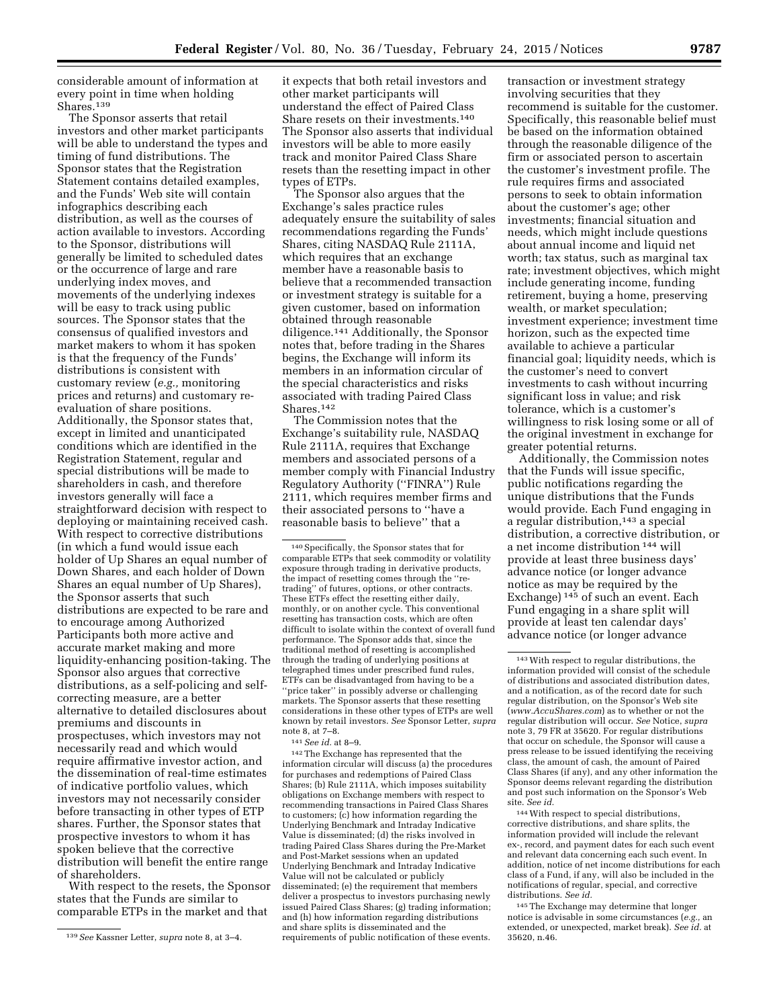considerable amount of information at every point in time when holding Shares.<sup>139</sup>

The Sponsor asserts that retail investors and other market participants will be able to understand the types and timing of fund distributions. The Sponsor states that the Registration Statement contains detailed examples, and the Funds' Web site will contain infographics describing each distribution, as well as the courses of action available to investors. According to the Sponsor, distributions will generally be limited to scheduled dates or the occurrence of large and rare underlying index moves, and movements of the underlying indexes will be easy to track using public sources. The Sponsor states that the consensus of qualified investors and market makers to whom it has spoken is that the frequency of the Funds' distributions is consistent with customary review (*e.g.,* monitoring prices and returns) and customary reevaluation of share positions. Additionally, the Sponsor states that, except in limited and unanticipated conditions which are identified in the Registration Statement, regular and special distributions will be made to shareholders in cash, and therefore investors generally will face a straightforward decision with respect to deploying or maintaining received cash. With respect to corrective distributions (in which a fund would issue each holder of Up Shares an equal number of Down Shares, and each holder of Down Shares an equal number of Up Shares), the Sponsor asserts that such distributions are expected to be rare and to encourage among Authorized Participants both more active and accurate market making and more liquidity-enhancing position-taking. The Sponsor also argues that corrective distributions, as a self-policing and selfcorrecting measure, are a better alternative to detailed disclosures about premiums and discounts in prospectuses, which investors may not necessarily read and which would require affirmative investor action, and the dissemination of real-time estimates of indicative portfolio values, which investors may not necessarily consider before transacting in other types of ETP shares. Further, the Sponsor states that prospective investors to whom it has spoken believe that the corrective distribution will benefit the entire range of shareholders.

With respect to the resets, the Sponsor states that the Funds are similar to comparable ETPs in the market and that

it expects that both retail investors and other market participants will understand the effect of Paired Class Share resets on their investments.140 The Sponsor also asserts that individual investors will be able to more easily track and monitor Paired Class Share resets than the resetting impact in other types of ETPs.

The Sponsor also argues that the Exchange's sales practice rules adequately ensure the suitability of sales recommendations regarding the Funds' Shares, citing NASDAQ Rule 2111A, which requires that an exchange member have a reasonable basis to believe that a recommended transaction or investment strategy is suitable for a given customer, based on information obtained through reasonable diligence.141 Additionally, the Sponsor notes that, before trading in the Shares begins, the Exchange will inform its members in an information circular of the special characteristics and risks associated with trading Paired Class Shares.142

The Commission notes that the Exchange's suitability rule, NASDAQ Rule 2111A, requires that Exchange members and associated persons of a member comply with Financial Industry Regulatory Authority (''FINRA'') Rule 2111, which requires member firms and their associated persons to ''have a reasonable basis to believe'' that a

140Specifically, the Sponsor states that for comparable ETPs that seek commodity or volatility exposure through trading in derivative products, the impact of resetting comes through the ''retrading'' of futures, options, or other contracts. These ETFs effect the resetting either daily, monthly, or on another cycle. This conventional resetting has transaction costs, which are often difficult to isolate within the context of overall fund performance. The Sponsor adds that, since the traditional method of resetting is accomplished through the trading of underlying positions at telegraphed times under prescribed fund rules, ETFs can be disadvantaged from having to be a ''price taker'' in possibly adverse or challenging markets. The Sponsor asserts that these resetting considerations in these other types of ETPs are well known by retail investors. *See* Sponsor Letter, *supra*  note 8, at 7–8.

141*See id.* at 8–9.

142The Exchange has represented that the information circular will discuss (a) the procedures for purchases and redemptions of Paired Class Shares; (b) Rule 2111A, which imposes suitability obligations on Exchange members with respect to recommending transactions in Paired Class Shares to customers; (c) how information regarding the Underlying Benchmark and Intraday Indicative Value is disseminated; (d) the risks involved in trading Paired Class Shares during the Pre-Market and Post-Market sessions when an updated Underlying Benchmark and Intraday Indicative Value will not be calculated or publicly disseminated; (e) the requirement that members deliver a prospectus to investors purchasing newly issued Paired Class Shares; (g) trading information; and (h) how information regarding distributions and share splits is disseminated and the requirements of public notification of these events.

transaction or investment strategy involving securities that they recommend is suitable for the customer. Specifically, this reasonable belief must be based on the information obtained through the reasonable diligence of the firm or associated person to ascertain the customer's investment profile. The rule requires firms and associated persons to seek to obtain information about the customer's age; other investments; financial situation and needs, which might include questions about annual income and liquid net worth; tax status, such as marginal tax rate; investment objectives, which might include generating income, funding retirement, buying a home, preserving wealth, or market speculation; investment experience; investment time horizon, such as the expected time available to achieve a particular financial goal; liquidity needs, which is the customer's need to convert investments to cash without incurring significant loss in value; and risk tolerance, which is a customer's willingness to risk losing some or all of the original investment in exchange for greater potential returns.

Additionally, the Commission notes that the Funds will issue specific, public notifications regarding the unique distributions that the Funds would provide. Each Fund engaging in a regular distribution,143 a special distribution, a corrective distribution, or a net income distribution 144 will provide at least three business days' advance notice (or longer advance notice as may be required by the Exchange)<sup>145</sup> of such an event. Each Fund engaging in a share split will provide at least ten calendar days' advance notice (or longer advance

144With respect to special distributions, corrective distributions, and share splits, the information provided will include the relevant ex-, record, and payment dates for each such event and relevant data concerning each such event. In addition, notice of net income distributions for each class of a Fund, if any, will also be included in the notifications of regular, special, and corrective distributions. *See id.* 

145The Exchange may determine that longer notice is advisable in some circumstances (*e.g.,* an extended, or unexpected, market break). *See id.* at 35620, n.46.

<sup>139</sup>*See* Kassner Letter, *supra* note 8, at 3–4.

<sup>143</sup>With respect to regular distributions, the information provided will consist of the schedule of distributions and associated distribution dates, and a notification, as of the record date for such regular distribution, on the Sponsor's Web site (*[www.AccuShares.com](http://www.AccuShares.com)*) as to whether or not the regular distribution will occur. *See* Notice, *supra*  note 3, 79 FR at 35620. For regular distributions that occur on schedule, the Sponsor will cause a press release to be issued identifying the receiving class, the amount of cash, the amount of Paired Class Shares (if any), and any other information the Sponsor deems relevant regarding the distribution and post such information on the Sponsor's Web site. *See id.*